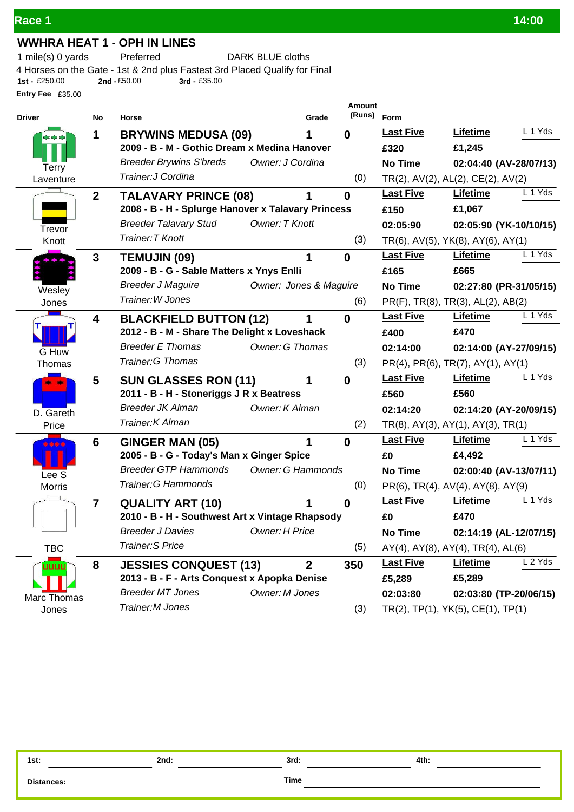### **WWHRA HEAT 1 - OPH IN LINES**

1 mile(s) 0 yards Preferred DARK BLUE cloths

**Entry Fee** £35.00 4 Horses on the Gate - 1st & 2nd plus Fastest 3rd Placed Qualify for Final<br>1st - £250.00 2nd - £50.00 3rd - £35.00 **1st -** £250.00 **2nd -**£50.00 **3rd -** £35.00

| <b>Driver</b>      | No                      | Horse                                              | Grade                    | <b>Amount</b><br>(Runs) | Form             |                                                 |         |
|--------------------|-------------------------|----------------------------------------------------|--------------------------|-------------------------|------------------|-------------------------------------------------|---------|
|                    | 1                       | <b>BRYWINS MEDUSA (09)</b>                         |                          | $\bf{0}$                | <b>Last Five</b> | <b>Lifetime</b>                                 | L 1 Yds |
| コエスエス              |                         | 2009 - B - M - Gothic Dream x Medina Hanover       |                          |                         | £320             | £1,245                                          |         |
|                    |                         | <b>Breeder Brywins S'breds</b><br>Owner: J Cordina |                          |                         | <b>No Time</b>   | 02:04:40 (AV-28/07/13)                          |         |
| Terry<br>Laventure |                         | Trainer: J Cordina                                 |                          | (0)                     |                  | TR(2), AV(2), AL(2), CE(2), AV(2)               |         |
|                    | $\overline{2}$          | <b>TALAVARY PRINCE (08)</b>                        |                          | $\bf{0}$                | <b>Last Five</b> | Lifetime                                        | L 1 Yds |
|                    |                         | 2008 - B - H - Splurge Hanover x Talavary Princess |                          |                         | £150             | £1,067                                          |         |
| Trevor             |                         | <b>Breeder Talavary Stud</b><br>Owner: T Knott     |                          |                         | 02:05:90         | 02:05:90 (YK-10/10/15)                          |         |
| Knott              |                         | Trainer: T Knott                                   |                          | (3)                     |                  | TR(6), AV(5), YK(8), AY(6), AY(1)               |         |
|                    | $\mathbf{3}$            | <b>TEMUJIN (09)</b>                                | 1                        | $\bf{0}$                | <b>Last Five</b> | Lifetime                                        | L 1 Yds |
|                    |                         | 2009 - B - G - Sable Matters x Ynys Enlli          |                          |                         | £165             | £665                                            |         |
| Wesley             |                         | <b>Breeder J Maguire</b>                           | Owner: Jones & Maguire   |                         | <b>No Time</b>   | 02:27:80 (PR-31/05/15)                          |         |
| Jones              |                         | Trainer: W Jones                                   |                          | (6)                     |                  | PR(F), TR(8), TR(3), AL(2), AB(2)               |         |
|                    | 4                       | <b>BLACKFIELD BUTTON (12)</b>                      |                          | $\bf{0}$                | <b>Last Five</b> | Lifetime                                        | . 1 Yds |
|                    |                         | 2012 - B - M - Share The Delight x Loveshack       |                          |                         | £400             | £470                                            |         |
| G Huw              |                         | <b>Breeder E Thomas</b>                            | Owner: G Thomas          |                         | 02:14:00         | 02:14:00 (AY-27/09/15)                          |         |
| Thomas             |                         | Trainer: G Thomas                                  |                          | (3)                     |                  | PR(4), PR(6), TR(7), AY(1), AY(1)               |         |
|                    | $\overline{\mathbf{5}}$ | <b>SUN GLASSES RON (11)</b>                        | 1                        | $\bf{0}$                | <b>Last Five</b> | Lifetime                                        | L 1 Yds |
|                    |                         | 2011 - B - H - Stoneriggs J R x Beatress           |                          |                         | £560             | £560                                            |         |
| D. Gareth          |                         | <b>Breeder JK Alman</b><br>Owner: K Alman          |                          |                         | 02:14:20         | 02:14:20 (AY-20/09/15)                          |         |
| Price              |                         | Trainer: K Alman                                   |                          | (2)                     |                  | $TR(8)$ , AY(3), AY(1), AY(3), TR(1)            |         |
|                    | 6                       | <b>GINGER MAN (05)</b>                             | 1                        | $\bf{0}$                | <b>Last Five</b> | <b>Lifetime</b>                                 | L 1 Yds |
|                    |                         | 2005 - B - G - Today's Man x Ginger Spice          |                          |                         | £0               | £4,492                                          |         |
| Lee <sub>S</sub>   |                         | <b>Breeder GTP Hammonds</b>                        | <b>Owner: G Hammonds</b> |                         | <b>No Time</b>   | 02:00:40 (AV-13/07/11)                          |         |
| <b>Morris</b>      |                         | <b>Trainer: G Hammonds</b>                         |                          | (0)                     |                  | PR(6), TR(4), AV(4), AY(8), AY(9)               |         |
|                    | $\overline{\mathbf{r}}$ | <b>QUALITY ART (10)</b>                            |                          | $\bf{0}$                | <b>Last Five</b> | Lifetime                                        | L 1 Yds |
|                    |                         | 2010 - B - H - Southwest Art x Vintage Rhapsody    |                          |                         | £0               | £470                                            |         |
|                    |                         | <b>Breeder J Davies</b><br>Owner: H Price          |                          |                         | <b>No Time</b>   | 02:14:19 (AL-12/07/15)                          |         |
| <b>TBC</b>         |                         | <b>Trainer.S Price</b>                             |                          | (5)                     |                  | $AY(4)$ , $AY(8)$ , $AY(4)$ , $TR(4)$ , $AL(6)$ |         |
| uuuu               | 8                       | <b>JESSIES CONQUEST (13)</b>                       | $\overline{2}$           | 350                     | <b>Last Five</b> | Lifetime                                        | 2 Yds   |
|                    |                         | 2013 - B - F - Arts Conquest x Apopka Denise       |                          |                         | £5,289           | £5,289                                          |         |
| Marc Thomas        |                         | <b>Breeder MT Jones</b><br>Owner: M Jones          |                          |                         | 02:03:80         | 02:03:80 (TP-20/06/15)                          |         |
| Jones              |                         | Trainer: M Jones                                   |                          | (3)                     |                  | TR(2), TP(1), YK(5), CE(1), TP(1)               |         |

**1st: 2nd: 3rd: 4th:**

**Distances: Time**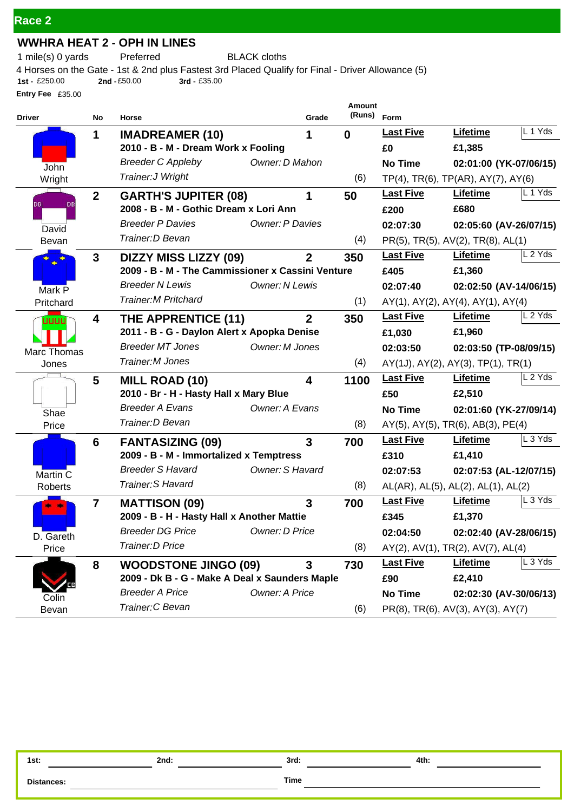## **WWHRA HEAT 2 - OPH IN LINES**

1 mile(s) 0 yards Preferred BLACK cloths

**Entry Fee** £35.00 4 Horses on the Gate - 1st & 2nd plus Fastest 3rd Placed Qualify for Final - Driver Allowance (5)<br>1st - £250.00 **2nd - £50.00** 3rd - £35.00 **1st -** £250.00 **2nd -**£50.00 **3rd -** £35.00

| <b>Driver</b>   | No             | Horse                                             | Grade          | Amount<br>(Runs) | Form             |                                                  |         |
|-----------------|----------------|---------------------------------------------------|----------------|------------------|------------------|--------------------------------------------------|---------|
|                 | 1              | <b>IMADREAMER (10)</b>                            | 1              | $\bf{0}$         | <b>Last Five</b> | Lifetime                                         | L 1 Yds |
|                 |                | 2010 - B - M - Dream Work x Fooling               |                |                  | £0               | £1,385                                           |         |
| John            |                | <b>Breeder C Appleby</b><br>Owner: D Mahon        |                |                  | <b>No Time</b>   | 02:01:00 (YK-07/06/15)                           |         |
| Wright          |                | Trainer: J Wright                                 |                | (6)              |                  | TP(4), TR(6), TP(AR), AY(7), AY(6)               |         |
|                 | $\overline{2}$ | <b>GARTH'S JUPITER (08)</b>                       | 1              | 50               | <b>Last Five</b> | <b>Lifetime</b>                                  | L 1 Yds |
| <b>DB</b><br>DB |                | 2008 - B - M - Gothic Dream x Lori Ann            |                |                  | £200             | £680                                             |         |
| David           |                | <b>Breeder P Davies</b><br><b>Owner: P Davies</b> |                |                  | 02:07:30         | 02:05:60 (AV-26/07/15)                           |         |
| Bevan           |                | Trainer: D Bevan                                  |                | (4)              |                  | PR(5), TR(5), AV(2), TR(8), AL(1)                |         |
| ∙               | $\mathbf{3}$   | <b>DIZZY MISS LIZZY (09)</b>                      | $\mathbf{2}$   | 350              | <b>Last Five</b> | Lifetime                                         | L 2 Yds |
|                 |                | 2009 - B - M - The Cammissioner x Cassini Venture |                |                  | £405             | £1,360                                           |         |
| Mark P          |                | <b>Breeder N Lewis</b><br>Owner: N Lewis          |                |                  | 02:07:40         | 02:02:50 (AV-14/06/15)                           |         |
| Pritchard       |                | <b>Trainer: M Pritchard</b>                       |                | (1)              |                  | AY(1), AY(2), AY(4), AY(1), AY(4)                |         |
| uuuu            | 4              | THE APPRENTICE (11)                               | $\overline{2}$ | 350              | <b>Last Five</b> | Lifetime                                         | L 2 Yds |
|                 |                | 2011 - B - G - Daylon Alert x Apopka Denise       |                |                  | £1,030           | £1,960                                           |         |
| Marc Thomas     |                | <b>Breeder MT Jones</b><br>Owner: M Jones         |                |                  | 02:03:50         | 02:03:50 (TP-08/09/15)                           |         |
| Jones           |                | Trainer: M Jones                                  |                | (4)              |                  | $AY(1J)$ , $AY(2)$ , $AY(3)$ , $TP(1)$ , $TR(1)$ |         |
|                 | 5              | <b>MILL ROAD (10)</b>                             | 4              | 1100             | <b>Last Five</b> | Lifetime                                         | L 2 Yds |
|                 |                | 2010 - Br - H - Hasty Hall x Mary Blue            |                |                  | £50              | £2,510                                           |         |
| Shae            |                | <b>Breeder A Evans</b><br>Owner: A Evans          |                |                  | <b>No Time</b>   | 02:01:60 (YK-27/09/14)                           |         |
| Price           |                | Trainer: D Bevan                                  |                | (8)              |                  | AY(5), AY(5), TR(6), AB(3), PE(4)                |         |
|                 | 6              | <b>FANTASIZING (09)</b>                           | 3              | 700              | <b>Last Five</b> | Lifetime                                         | L 3 Yds |
|                 |                | 2009 - B - M - Immortalized x Temptress           |                |                  | £310             | £1,410                                           |         |
| Martin C        |                | <b>Breeder S Havard</b><br>Owner: S Havard        |                |                  | 02:07:53         | 02:07:53 (AL-12/07/15)                           |         |
| Roberts         |                | Trainer: S Havard                                 |                | (8)              |                  | AL(AR), AL(5), AL(2), AL(1), AL(2)               |         |
|                 | $\overline{7}$ | <b>MATTISON (09)</b>                              | $\overline{3}$ | 700              | <b>Last Five</b> | Lifetime                                         | L 3 Yds |
|                 |                | 2009 - B - H - Hasty Hall x Another Mattie        |                |                  | £345             | £1,370                                           |         |
| D. Gareth       |                | Breeder DG Price <b>Container</b> Owner: D Price  |                |                  | 02:04:50         | 02:02:40 (AV-28/06/15)                           |         |
| Price           |                | Trainer: D Price                                  |                | (8)              |                  | AY(2), AV(1), TR(2), AV(7), AL(4)                |         |
|                 | 8              | <b>WOODSTONE JINGO (09)</b>                       | 3              | 730              | <b>Last Five</b> | <b>Lifetime</b>                                  | L 3 Yds |
|                 |                | 2009 - Dk B - G - Make A Deal x Saunders Maple    |                |                  | £90              | £2,410                                           |         |
| Colin           |                | <b>Breeder A Price</b><br>Owner: A Price          |                |                  | <b>No Time</b>   | 02:02:30 (AV-30/06/13)                           |         |
| Bevan           |                | Trainer: C Bevan                                  |                | (6)              |                  | PR(8), TR(6), AV(3), AY(3), AY(7)                |         |

| 1st:              | 2nd: | 2rd<br>JIU. | 4th: |
|-------------------|------|-------------|------|
| <b>Distances:</b> |      | <b>Time</b> |      |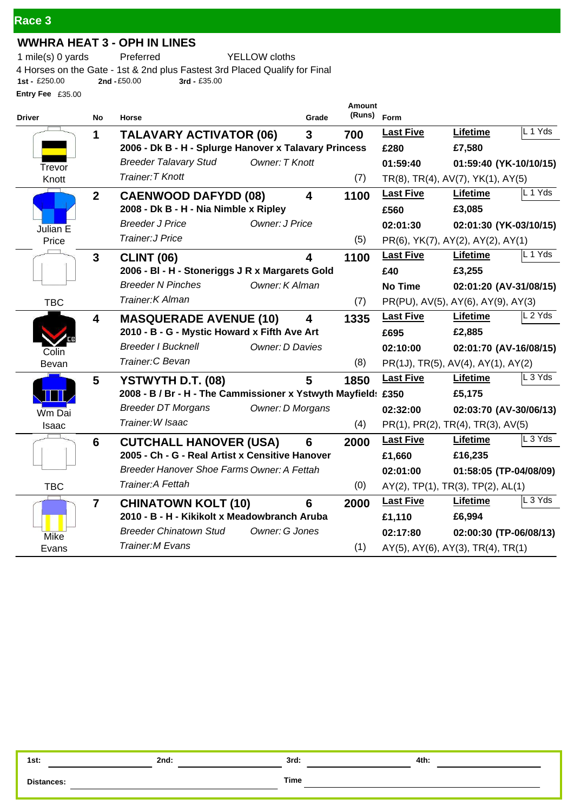## **WWHRA HEAT 3 - OPH IN LINES**

1 mile(s) 0 yards Preferred YELLOW cloths

**Entry Fee** £35.00 4 Horses on the Gate - 1st & 2nd plus Fastest 3rd Placed Qualify for Final<br>1st - £250.00 2nd - £50.00 3rd - £35.00 **1st -** £250.00 **2nd -**£50.00 **3rd -** £35.00

| <b>Driver</b> | No                      | Horse                                                         | Grade          | <b>Amount</b><br>(Runs) Form |                  |                                    |           |
|---------------|-------------------------|---------------------------------------------------------------|----------------|------------------------------|------------------|------------------------------------|-----------|
|               | 1                       | <b>TALAVARY ACTIVATOR (06)</b>                                | 3              | 700                          | <b>Last Five</b> | Lifetime                           | L 1 Yds   |
|               |                         | 2006 - Dk B - H - Splurge Hanover x Talavary Princess         |                |                              | £280             | £7,580                             |           |
| Trevor        |                         | <b>Breeder Talavary Stud</b><br>Owner: T Knott                |                |                              | 01:59:40         | 01:59:40 (YK-10/10/15)             |           |
| Knott         |                         | Trainer: T Knott                                              |                | (7)                          |                  | TR(8), TR(4), AV(7), YK(1), AY(5)  |           |
|               | $\mathbf{2}$            | <b>CAENWOOD DAFYDD (08)</b>                                   | 4              | 1100                         | <b>Last Five</b> | Lifetime                           | L 1 Yds   |
|               |                         | 2008 - Dk B - H - Nia Nimble x Ripley                         |                |                              | £560             | £3,085                             |           |
| Julian E      |                         | <b>Breeder J Price</b><br>Owner: J Price                      |                |                              | 02:01:30         | 02:01:30 (YK-03/10/15)             |           |
| Price         |                         | <b>Trainer: J Price</b>                                       |                | (5)                          |                  | PR(6), YK(7), AY(2), AY(2), AY(1)  |           |
|               | $\mathbf{3}$            | <b>CLINT (06)</b>                                             | 4              | 1100                         | <b>Last Five</b> | Lifetime                           | $L$ 1 Yds |
|               |                         | 2006 - BI - H - Stoneriggs J R x Margarets Gold               |                |                              | £40              | £3,255                             |           |
|               |                         | <b>Breeder N Pinches</b><br>Owner: K Alman                    |                |                              | <b>No Time</b>   | 02:01:20 (AV-31/08/15)             |           |
| <b>TBC</b>    |                         | Trainer: K Alman                                              |                | (7)                          |                  | PR(PU), AV(5), AY(6), AY(9), AY(3) |           |
|               | $\overline{\mathbf{4}}$ | <b>MASQUERADE AVENUE (10)</b>                                 | 4              | 1335                         | <b>Last Five</b> | Lifetime                           | L 2 Yds   |
|               |                         | 2010 - B - G - Mystic Howard x Fifth Ave Art                  |                |                              | £695             | £2,885                             |           |
| Colin         |                         | <b>Breeder I Bucknell</b><br>Owner: D Davies                  |                |                              | 02:10:00         | 02:01:70 (AV-16/08/15)             |           |
| Bevan         |                         | Trainer: C Bevan                                              |                | (8)                          |                  | PR(1J), TR(5), AV(4), AY(1), AY(2) |           |
|               | 5                       | YSTWYTH D.T. (08)                                             | 5              | 1850                         | <b>Last Five</b> | Lifetime                           | L 3 Yds   |
|               |                         | 2008 - B / Br - H - The Cammissioner x Ystwyth Mayfield: £350 |                |                              |                  | £5,175                             |           |
| Wm Dai        |                         | <b>Breeder DT Morgans</b><br>Owner: D Morgans                 |                |                              | 02:32:00         | 02:03:70 (AV-30/06/13)             |           |
| Isaac         |                         | Trainer: W Isaac                                              |                | (4)                          |                  | PR(1), PR(2), TR(4), TR(3), AV(5)  |           |
|               | 6                       | <b>CUTCHALL HANOVER (USA)</b>                                 | 6              | 2000                         | <b>Last Five</b> | Lifetime                           | L 3 Yds   |
|               |                         | 2005 - Ch - G - Real Artist x Censitive Hanover               |                |                              | £1,660           | £16,235                            |           |
|               |                         | Breeder Hanover Shoe Farms Owner: A Fettah                    |                |                              | 02:01:00         | 01:58:05 (TP-04/08/09)             |           |
| <b>TBC</b>    |                         | Trainer: A Fettah                                             |                | (0)                          |                  | AY(2), TP(1), TR(3), TP(2), AL(1)  |           |
|               | $\overline{7}$          | <b>CHINATOWN KOLT (10)</b>                                    | $6\phantom{1}$ | 2000                         | <b>Last Five</b> | <b>Lifetime</b>                    | L 3 Yds   |
|               |                         | 2010 - B - H - Kikikolt x Meadowbranch Aruba                  |                |                              | £1,110           | £6,994                             |           |
| Mike          |                         | <b>Breeder Chinatown Stud</b><br>Owner: G Jones               |                |                              | 02:17:80         | 02:00:30 (TP-06/08/13)             |           |
| Evans         |                         | <b>Trainer, M Evans</b>                                       |                | (1)                          |                  | AY(5), AY(6), AY(3), TR(4), TR(1)  |           |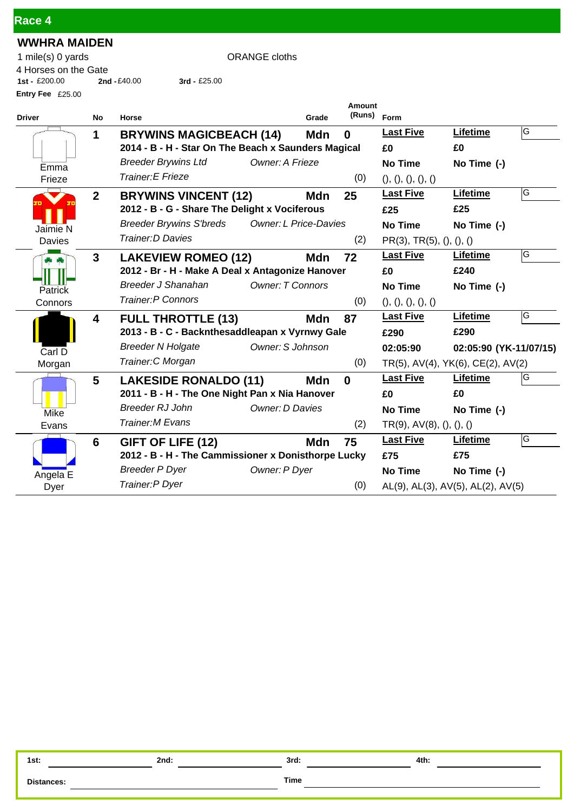| Race 4 |  |
|--------|--|
|        |  |

# **WWHRA MAIDEN**

ORANGE cloths

**1st -** £200.00 **2nd -**£40.00 **3rd -** £25.00

| 1 mile(s) 0 yards    |               |
|----------------------|---------------|
| 4 Horses on the Gate |               |
| 1st - $£200.00$      | 2nd $-£40.00$ |
| Entry Fee $£25.00$   |               |

| <b>Driver</b>  | <b>No</b>      | Horse                                                          | Grade      | Amount<br>(Runs) Form |                                     |                        |   |
|----------------|----------------|----------------------------------------------------------------|------------|-----------------------|-------------------------------------|------------------------|---|
|                | 1              | <b>BRYWINS MAGICBEACH (14)</b>                                 | <b>Mdn</b> | $\bf{0}$              | <b>Last Five</b>                    | Lifetime               | G |
|                |                | 2014 - B - H - Star On The Beach x Saunders Magical            |            |                       | £0                                  | £0                     |   |
| Emma           |                | <b>Breeder Brywins Ltd</b><br>Owner: A Frieze                  |            |                       | <b>No Time</b>                      | No Time (-)            |   |
| Frieze         |                | Trainer: E Frieze                                              |            | (0)                   | ( ), ( ), ( ), ( ), ( ),            |                        |   |
|                | $\overline{2}$ | <b>BRYWINS VINCENT (12)</b>                                    | Mdn        | 25                    | <b>Last Five</b>                    | Lifetime               | G |
|                |                | 2012 - B - G - Share The Delight x Vociferous                  |            |                       | £25                                 | £25                    |   |
| Jaimie N       |                | <b>Breeder Brywins S'breds</b><br><b>Owner: L Price-Davies</b> |            |                       | <b>No Time</b>                      | No Time (-)            |   |
| Davies         |                | Trainer: D Davies                                              |            | (2)                   | PR(3), TR(5), (), (),               |                        |   |
|                | $\mathbf{3}$   | <b>LAKEVIEW ROMEO (12)</b>                                     | Mdn        | 72                    | <b>Last Five</b>                    | Lifetime               | G |
|                |                | 2012 - Br - H - Make A Deal x Antagonize Hanover               |            |                       | £0                                  | £240                   |   |
| <b>Patrick</b> |                | <b>Breeder J Shanahan</b><br><b>Owner: T Connors</b>           |            |                       | No Time                             | No Time (-)            |   |
| Connors        |                | <b>Trainer: P Connors</b>                                      |            | (0)                   | ( ), ( ), ( ), ( ), ( ),            |                        |   |
|                | 4              | <b>FULL THROTTLE (13)</b>                                      | <b>Mdn</b> | 87                    | <b>Last Five</b>                    | Lifetime               | G |
|                |                | 2013 - B - C - Backnthesaddleapan x Vyrnwy Gale                |            |                       | £290                                | £290                   |   |
| Carl D         |                | Owner: S Johnson<br><b>Breeder N Holgate</b>                   |            |                       | 02:05:90                            | 02:05:90 (YK-11/07/15) |   |
| Morgan         |                | Trainer: C Morgan                                              |            | (0)                   | TR(5), AV(4), YK(6), CE(2), AV(2)   |                        |   |
|                | 5              | <b>LAKESIDE RONALDO (11)</b>                                   | Mdn        | $\bf{0}$              | <b>Last Five</b>                    | Lifetime               | G |
|                |                | 2011 - B - H - The One Night Pan x Nia Hanover                 |            |                       | £0                                  | £0                     |   |
| Mike           |                | Breeder RJ John<br>Owner: D Davies                             |            |                       | <b>No Time</b>                      | No Time (-)            |   |
| Evans          |                | <b>Trainer, M Evans</b>                                        |            | (2)                   | $TR(9)$ , $AV(8)$ , $(), ()$ , $()$ |                        |   |
|                | 6              | GIFT OF LIFE (12)                                              | <b>Mdn</b> | 75                    | <b>Last Five</b>                    | Lifetime               | G |
|                |                | 2012 - B - H - The Cammissioner x Donisthorpe Lucky            |            |                       | £75                                 | £75                    |   |
| Angela E       |                | <b>Breeder P Dyer</b><br>Owner: P Dyer                         |            |                       | <b>No Time</b>                      | No Time (-)            |   |
| Dyer           |                | Trainer: P Dyer                                                |            | (0)                   | AL(9), AL(3), AV(5), AL(2), AV(5)   |                        |   |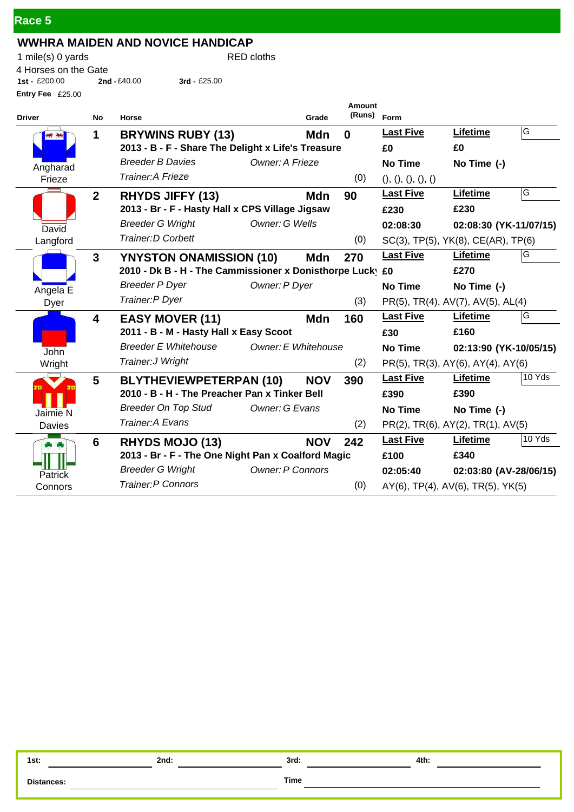| Race 5 |  |
|--------|--|
|        |  |
|        |  |

## **WWHRA MAIDEN AND NOVICE HANDICAP**

1 mile(s) 0 yards RED cloths **Entry Fee** £25.00 4 Horses on the Gate<br>1st - £200.00 2nd **1st -** £200.00 **2nd -**£40.00 **3rd -** £25.00

| <b>Driver</b> | No             | Horse                                                     | Grade      | Amount<br>(Runs) | Form                               |                        |        |
|---------------|----------------|-----------------------------------------------------------|------------|------------------|------------------------------------|------------------------|--------|
|               | 1              | <b>BRYWINS RUBY (13)</b>                                  | <b>Mdn</b> | $\bf{0}$         | <b>Last Five</b>                   | <b>Lifetime</b>        | G      |
|               |                | 2013 - B - F - Share The Delight x Life's Treasure        |            |                  | £0                                 | £0                     |        |
| Angharad      |                | <b>Breeder B Davies</b><br>Owner: A Frieze                |            |                  | <b>No Time</b>                     | No Time (-)            |        |
| Frieze        |                | Trainer: A Frieze                                         |            | (0)              | (), (), (), (), ()                 |                        |        |
|               | $\overline{2}$ | <b>RHYDS JIFFY (13)</b>                                   | Mdn        | 90               | <b>Last Five</b>                   | Lifetime               | G      |
|               |                | 2013 - Br - F - Hasty Hall x CPS Village Jigsaw           |            |                  | £230                               | £230                   |        |
| David         |                | <b>Breeder G Wright</b><br>Owner: G Wells                 |            |                  | 02:08:30                           | 02:08:30 (YK-11/07/15) |        |
| Langford      |                | Trainer: D Corbett                                        |            | (0)              | SC(3), TP(5), YK(8), CE(AR), TP(6) |                        |        |
|               | $\mathbf{3}$   | <b>YNYSTON ONAMISSION (10)</b>                            | Mdn        | 270              | <b>Last Five</b>                   | Lifetime               | G      |
|               |                | 2010 - Dk B - H - The Cammissioner x Donisthorpe Lucky £0 |            |                  |                                    | £270                   |        |
| Angela E      |                | <b>Breeder P Dyer</b><br>Owner: P Dyer                    |            |                  | <b>No Time</b>                     | No Time (-)            |        |
| Dyer          |                | Trainer: P Dyer                                           |            | (3)              | PR(5), TR(4), AV(7), AV(5), AL(4)  |                        |        |
|               | 4              | <b>EASY MOVER (11)</b>                                    | Mdn        | 160              | <b>Last Five</b>                   | Lifetime               | G      |
|               |                | 2011 - B - M - Hasty Hall x Easy Scoot                    |            |                  | £30                                | £160                   |        |
| John          |                | <b>Breeder E Whitehouse</b><br>Owner: E Whitehouse        |            |                  | <b>No Time</b>                     | 02:13:90 (YK-10/05/15) |        |
| Wright        |                | Trainer: J Wright                                         |            | (2)              | PR(5), TR(3), AY(6), AY(4), AY(6)  |                        |        |
|               | 5              | <b>BLYTHEVIEWPETERPAN (10)</b>                            | <b>NOV</b> | 390              | <b>Last Five</b>                   | Lifetime               | 10 Yds |
|               |                | 2010 - B - H - The Preacher Pan x Tinker Bell             |            |                  | £390                               | £390                   |        |
| Jaimie N      |                | <b>Breeder On Top Stud</b><br>Owner: G Evans              |            |                  | <b>No Time</b>                     | No Time (-)            |        |
| <b>Davies</b> |                | Trainer: A Evans                                          |            | (2)              | PR(2), TR(6), AY(2), TR(1), AV(5)  |                        |        |
| d,            | 6              | <b>RHYDS MOJO (13)</b>                                    | <b>NOV</b> | 242              | <b>Last Five</b>                   | Lifetime               | 10 Yds |
|               |                | 2013 - Br - F - The One Night Pan x Coalford Magic        |            |                  | £100                               | £340                   |        |
| Patrick       |                | <b>Breeder G Wright</b><br><b>Owner: P Connors</b>        |            |                  | 02:05:40                           | 02:03:80 (AV-28/06/15) |        |
| Connors       |                | <b>Trainer:P Connors</b>                                  |            | (0)              | AY(6), TP(4), AV(6), TR(5), YK(5)  |                        |        |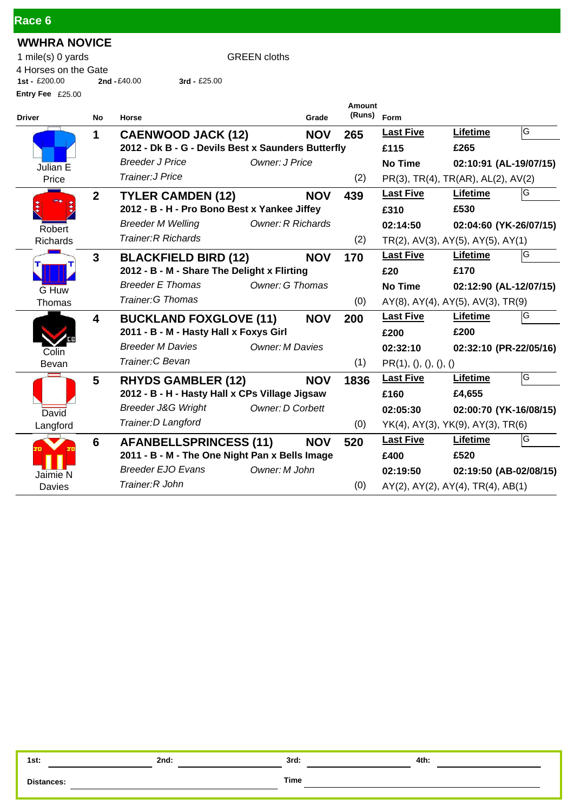| Race 6 |
|--------|
|--------|

## **WWHRA NOVICE**

1 mile(s) 0 yards GREEN cloths **Entry Fee** £25.00 4 Horses on the Gate<br>1st - £200.00 2nd -£40.00 **1st -** £200.00 **2nd -**£40.00 **3rd -** £25.00

| <b>Driver</b> | No           | Horse                                                    | Grade      | Amount<br>(Runs) Form |                       |                                                 |     |
|---------------|--------------|----------------------------------------------------------|------------|-----------------------|-----------------------|-------------------------------------------------|-----|
|               | 1            | <b>CAENWOOD JACK (12)</b>                                | <b>NOV</b> | 265                   | <b>Last Five</b>      | <b>Lifetime</b>                                 | G   |
|               |              | 2012 - Dk B - G - Devils Best x Saunders Butterfly       |            |                       | £115                  | £265                                            |     |
| Julian E      |              | Owner: J Price<br><b>Breeder J Price</b>                 |            |                       | <b>No Time</b>        | 02:10:91 (AL-19/07/15)                          |     |
| Price         |              | Trainer: J Price                                         |            | (2)                   |                       | PR(3), TR(4), TR(AR), AL(2), AV(2)              |     |
|               | $\mathbf{2}$ | <b>TYLER CAMDEN (12)</b>                                 | <b>NOV</b> | 439                   | <b>Last Five</b>      | Lifetime                                        | IG. |
|               |              | 2012 - B - H - Pro Bono Best x Yankee Jiffey             |            |                       | £310                  | £530                                            |     |
| Robert        |              | <b>Breeder M Welling</b><br><b>Owner: R Richards</b>     |            |                       | 02:14:50              | 02:04:60 (YK-26/07/15)                          |     |
| Richards      |              | <b>Trainer: R Richards</b>                               |            | (2)                   |                       | $TR(2)$ , AV(3), AY(5), AY(5), AY(1)            |     |
|               | 3            | <b>BLACKFIELD BIRD (12)</b>                              | <b>NOV</b> | 170                   | <b>Last Five</b>      | <b>Lifetime</b>                                 | IG  |
|               |              | 2012 - B - M - Share The Delight x Flirting              |            |                       | £20                   | £170                                            |     |
| G Huw         |              | <b>Breeder E Thomas</b><br><b>Owner: G Thomas</b>        |            |                       | <b>No Time</b>        | 02:12:90 (AL-12/07/15)                          |     |
| Thomas        |              | <b>Trainer: G Thomas</b>                                 |            | (0)                   |                       | $AY(8)$ , $AY(4)$ , $AY(5)$ , $AV(3)$ , $TR(9)$ |     |
|               | 4            | <b>BUCKLAND FOXGLOVE (11)</b>                            | <b>NOV</b> | 200                   | <b>Last Five</b>      | Lifetime                                        | G   |
|               |              | 2011 - B - M - Hasty Hall x Foxys Girl                   |            |                       | £200                  | £200                                            |     |
| Colin         |              | <b>Breeder M Davies</b><br><b>Owner: M Davies</b>        |            |                       | 02:32:10              | 02:32:10 (PR-22/05/16)                          |     |
| Bevan         |              | Trainer: C Bevan                                         |            | (1)                   | PR(1), (), (), (), () |                                                 |     |
|               | 5            | <b>RHYDS GAMBLER (12)</b>                                | <b>NOV</b> | 1836                  | <b>Last Five</b>      | <b>Lifetime</b>                                 | G   |
|               |              | 2012 - B - H - Hasty Hall x CPs Village Jigsaw           |            |                       | £160                  | £4,655                                          |     |
| David         |              | <b>Breeder J&amp;G Wright</b><br><b>Owner: D Corbett</b> |            |                       | 02:05:30              | 02:00:70 (YK-16/08/15)                          |     |
| Langford      |              | Trainer: D Langford                                      |            | (0)                   |                       | YK(4), AY(3), YK(9), AY(3), TR(6)               |     |
|               | 6            | <b>AFANBELLSPRINCESS (11)</b>                            | <b>NOV</b> | 520                   | <b>Last Five</b>      | Lifetime                                        | ΙG  |
|               |              | 2011 - B - M - The One Night Pan x Bells Image           |            |                       | £400                  | £520                                            |     |
| Jaimie N      |              | <b>Breeder EJO Evans</b><br>Owner: M John                |            |                       | 02:19:50              | 02:19:50 (AB-02/08/15)                          |     |
| Davies        |              | Trainer: R John                                          |            | (0)                   |                       | $AY(2)$ , $AY(2)$ , $AY(4)$ , $TR(4)$ , $AB(1)$ |     |